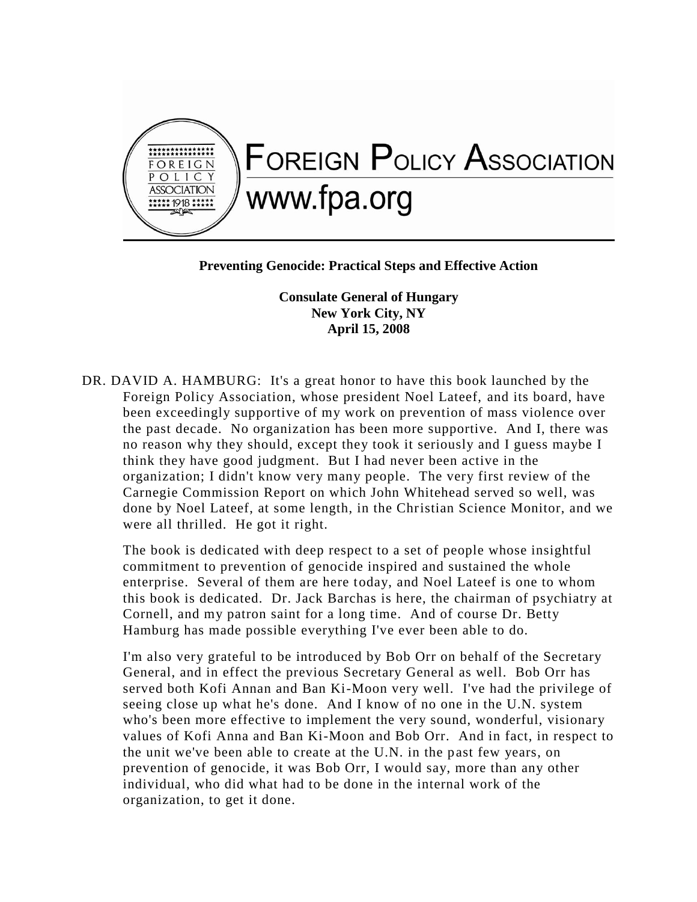

## **Preventing Genocide: Practical Steps and Effective Action**

**Consulate General of Hungary New York City, NY April 15, 2008**

DR. DAVID A. HAMBURG: It's a great honor to have this book launched by the Foreign Policy Association, whose president Noel Lateef, and its board, have been exceedingly supportive of my work on prevention of mass violence over the past decade. No organization has been more supportive. And I, there was no reason why they should, except they took it seriously and I guess maybe I think they have good judgment. But I had never been active in the organization; I didn't know very many people. The very first review of the Carnegie Commission Report on which John Whitehead served so well, was done by Noel Lateef, at some length, in the Christian Science Monitor, and we were all thrilled. He got it right.

The book is dedicated with deep respect to a set of people whose insightful commitment to prevention of genocide inspired and sustained the whole enterprise. Several of them are here today, and Noel Lateef is one to whom this book is dedicated. Dr. Jack Barchas is here, the chairman of psychiatry at Cornell, and my patron saint for a long time. And of course Dr. Betty Hamburg has made possible everything I've ever been able to do.

I'm also very grateful to be introduced by Bob Orr on behalf of the Secretary General, and in effect the previous Secretary General as well. Bob Orr has served both Kofi Annan and Ban Ki-Moon very well. I've had the privilege of seeing close up what he's done. And I know of no one in the U.N. system who's been more effective to implement the very sound, wonderful, visionary values of Kofi Anna and Ban Ki-Moon and Bob Orr. And in fact, in respect to the unit we've been able to create at the U.N. in the past few years, on prevention of genocide, it was Bob Orr, I would say, more than any other individual, who did what had to be done in the internal work of the organization, to get it done.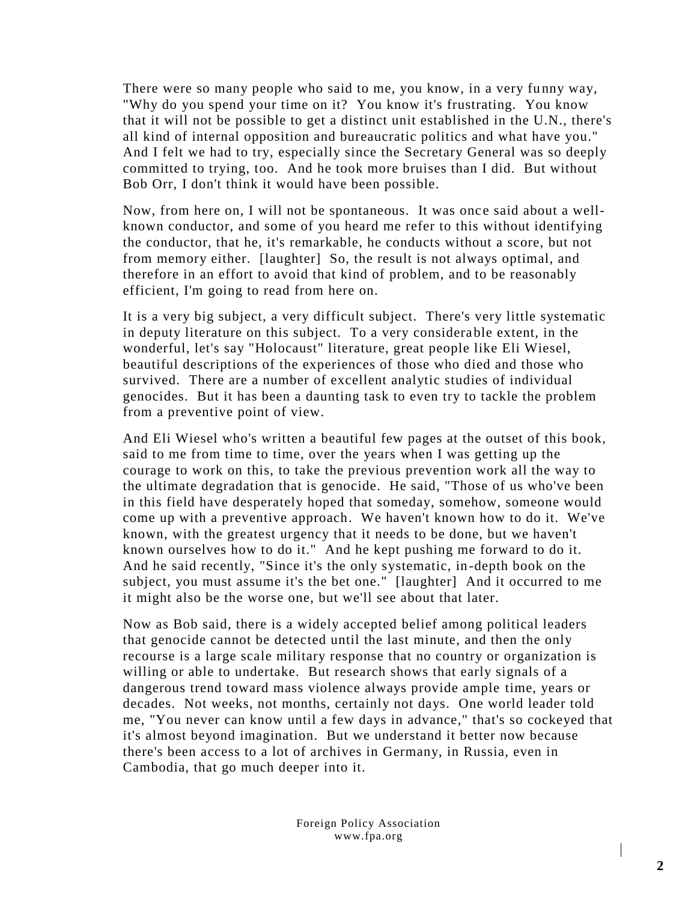There were so many people who said to me, you know, in a very funny way, "Why do you spend your time on it? You know it's frustrating. You know that it will not be possible to get a distinct unit established in the U.N., there's all kind of internal opposition and bureaucratic politics and what have you." And I felt we had to try, especially since the Secretary General was so deeply committed to trying, too. And he took more bruises than I did. But without Bob Orr, I don't think it would have been possible.

Now, from here on, I will not be spontaneous. It was onc e said about a wellknown conductor, and some of you heard me refer to this without identifying the conductor, that he, it's remarkable, he conducts without a score, but not from memory either. [laughter] So, the result is not always optimal, and therefore in an effort to avoid that kind of problem, and to be reasonably efficient, I'm going to read from here on.

It is a very big subject, a very difficult subject. There's very little systematic in deputy literature on this subject. To a very considerable extent, in the wonderful, let's say "Holocaust" literature, great people like Eli Wiesel, beautiful descriptions of the experiences of those who died and those who survived. There are a number of excellent analytic studies of individual genocides. But it has been a daunting task to even try to tackle the problem from a preventive point of view.

And Eli Wiesel who's written a beautiful few pages at the outset of this book, said to me from time to time, over the years when I was getting up the courage to work on this, to take the previous prevention work all the way to the ultimate degradation that is genocide. He said, "Those of us who've been in this field have desperately hoped that someday, somehow, someone would come up with a preventive approach. We haven't known how to do it. We've known, with the greatest urgency that it needs to be done, but we haven't known ourselves how to do it." And he kept pushing me forward to do it. And he said recently, "Since it's the only systematic, in-depth book on the subject, you must assume it's the bet one." [laughter] And it occurred to me it might also be the worse one, but we'll see about that later.

Now as Bob said, there is a widely accepted belief among political leaders that genocide cannot be detected until the last minute, and then the only recourse is a large scale military response that no country or organization is willing or able to undertake. But research shows that early signals of a dangerous trend toward mass violence always provide ample time, years or decades. Not weeks, not months, certainly not days. One world leader told me, "You never can know until a few days in advance," that's so cockeyed that it's almost beyond imagination. But we understand it better now because there's been access to a lot of archives in Germany, in Russia, even in Cambodia, that go much deeper into it.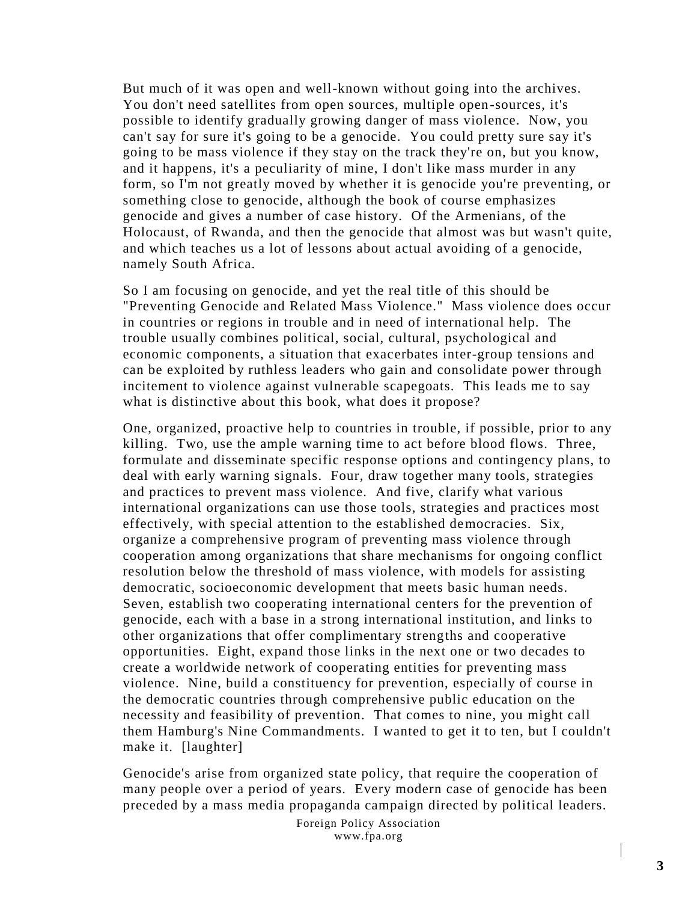But much of it was open and well-known without going into the archives. You don't need satellites from open sources, multiple open-sources, it's possible to identify gradually growing danger of mass violence. Now, you can't say for sure it's going to be a genocide. You could pretty sure say it's going to be mass violence if they stay on the track they're on, but you know, and it happens, it's a peculiarity of mine, I don't like mass murder in any form, so I'm not greatly moved by whether it is genocide you're preventing, or something close to genocide, although the book of course emphasizes genocide and gives a number of case history. Of the Armenians, of the Holocaust, of Rwanda, and then the genocide that almost was but wasn't quite, and which teaches us a lot of lessons about actual avoiding of a genocide, namely South Africa.

So I am focusing on genocide, and yet the real title of this should be "Preventing Genocide and Related Mass Violence." Mass violence does occur in countries or regions in trouble and in need of international help. The trouble usually combines political, social, cultural, psychological and economic components, a situation that exacerbates inter-group tensions and can be exploited by ruthless leaders who gain and consolidate power through incitement to violence against vulnerable scapegoats. This leads me to say what is distinctive about this book, what does it propose?

One, organized, proactive help to countries in trouble, if possible, prior to any killing. Two, use the ample warning time to act before blood flows. Three, formulate and disseminate specific response options and contingency plans, to deal with early warning signals. Four, draw together many tools, strategies and practices to prevent mass violence. And five, clarify what various international organizations can use those tools, strategies and practices most effectively, with special attention to the established democracies. Six, organize a comprehensive program of preventing mass violence through cooperation among organizations that share mechanisms for ongoing conflict resolution below the threshold of mass violence, with models for assisting democratic, socioeconomic development that meets basic human needs. Seven, establish two cooperating international centers for the prevention of genocide, each with a base in a strong international institution, and links to other organizations that offer complimentary strengths and cooperative opportunities. Eight, expand those links in the next one or two decades to create a worldwide network of cooperating entities for preventing mass violence. Nine, build a constituency for prevention, especially of course in the democratic countries through comprehensive public education on the necessity and feasibility of prevention. That comes to nine, you might call them Hamburg's Nine Commandments. I wanted to get it to ten, but I couldn't make it. [laughter]

Genocide's arise from organized state policy, that require the cooperation of many people over a period of years. Every modern case of genocide has been preceded by a mass media propaganda campaign directed by political leaders.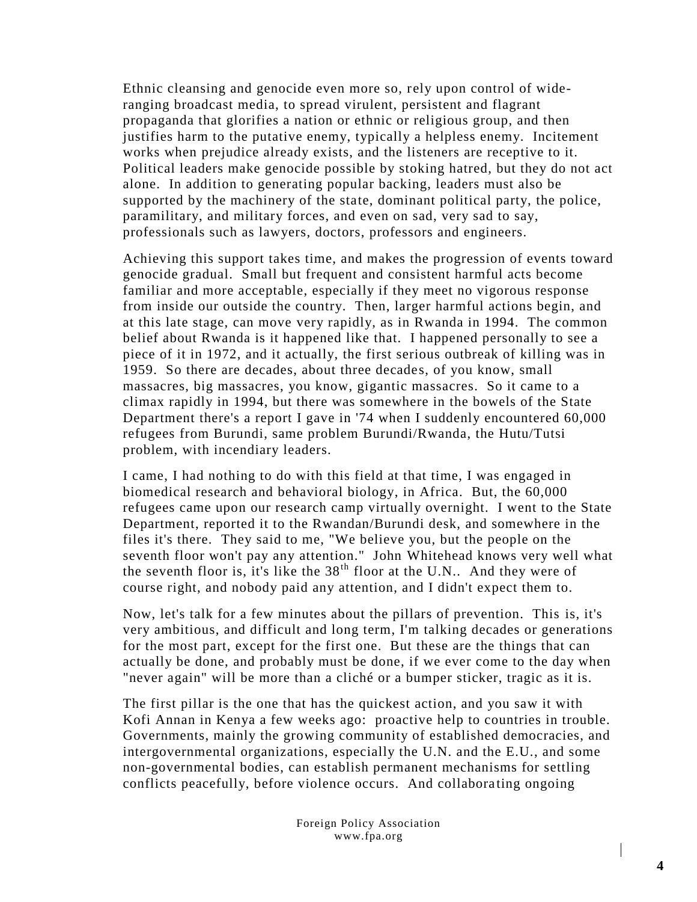Ethnic cleansing and genocide even more so, rely upon control of wideranging broadcast media, to spread virulent, persistent and flagrant propaganda that glorifies a nation or ethnic or religious group, and then justifies harm to the putative enemy, typically a helpless enemy. Incitement works when prejudice already exists, and the listeners are receptive to it. Political leaders make genocide possible by stoking hatred, but they do not act alone. In addition to generating popular backing, leaders must also be supported by the machinery of the state, dominant political party, the police, paramilitary, and military forces, and even on sad, very sad to say, professionals such as lawyers, doctors, professors and engineers.

Achieving this support takes time, and makes the progression of events toward genocide gradual. Small but frequent and consistent harmful acts become familiar and more acceptable, especially if they meet no vigorous response from inside our outside the country. Then, larger harmful actions begin, and at this late stage, can move very rapidly, as in Rwanda in 1994. The common belief about Rwanda is it happened like that. I happened personally to see a piece of it in 1972, and it actually, the first serious outbreak of killing was in 1959. So there are decades, about three decades, of you know, small massacres, big massacres, you know, gigantic massacres. So it came to a climax rapidly in 1994, but there was somewhere in the bowels of the State Department there's a report I gave in '74 when I suddenly encountered 60,000 refugees from Burundi, same problem Burundi/Rwanda, the Hutu/Tutsi problem, with incendiary leaders.

I came, I had nothing to do with this field at that time, I was engaged in biomedical research and behavioral biology, in Africa. But, the 60,000 refugees came upon our research camp virtually overnight. I went to the State Department, reported it to the Rwandan/Burundi desk, and somewhere in the files it's there. They said to me, "We believe you, but the people on the seventh floor won't pay any attention." John Whitehead knows very well what the seventh floor is, it's like the  $38<sup>th</sup>$  floor at the U.N.. And they were of course right, and nobody paid any attention, and I didn't expect them to.

Now, let's talk for a few minutes about the pillars of prevention. This is, it's very ambitious, and difficult and long term, I'm talking decades or generations for the most part, except for the first one. But these are the things that can actually be done, and probably must be done, if we ever come to the day when "never again" will be more than a cliché or a bumper sticker, tragic as it is.

The first pillar is the one that has the quickest action, and you saw it with Kofi Annan in Kenya a few weeks ago: proactive help to countries in trouble. Governments, mainly the growing community of established democracies, and intergovernmental organizations, especially the U.N. and the E.U., and some non-governmental bodies, can establish permanent mechanisms for settling conflicts peacefully, before violence occurs. And collaborating ongoing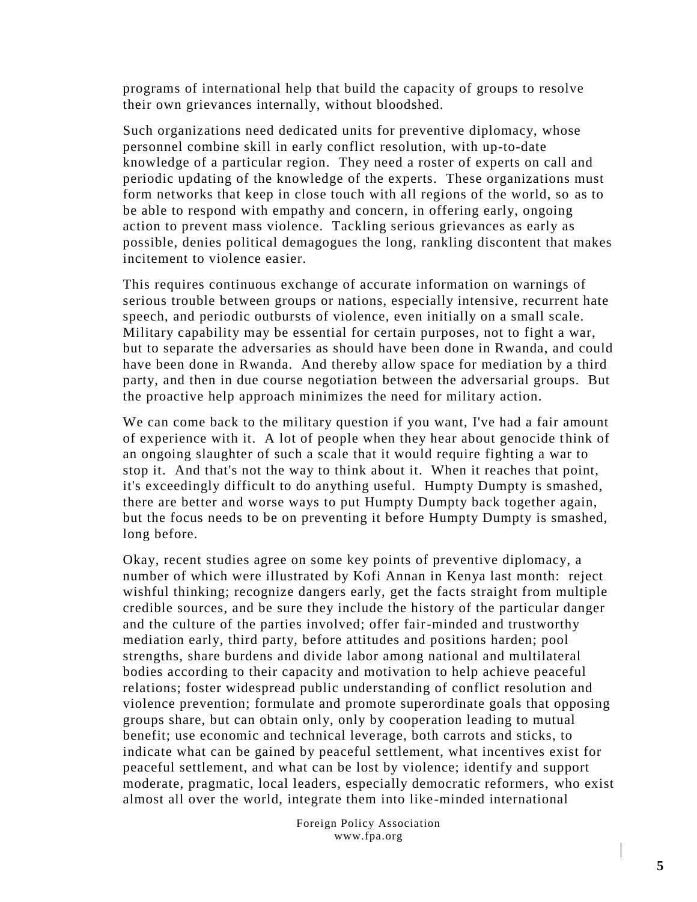programs of international help that build the capacity of groups to resolve their own grievances internally, without bloodshed.

Such organizations need dedicated units for preventive diplomacy, whose personnel combine skill in early conflict resolution, with up-to-date knowledge of a particular region. They need a roster of experts on call and periodic updating of the knowledge of the experts. These organizations must form networks that keep in close touch with all regions of the world, so as to be able to respond with empathy and concern, in offering early, ongoing action to prevent mass violence. Tackling serious grievances as early as possible, denies political demagogues the long, rankling discontent that makes incitement to violence easier.

This requires continuous exchange of accurate information on warnings of serious trouble between groups or nations, especially intensive, recurrent hate speech, and periodic outbursts of violence, even initially on a small scale. Military capability may be essential for certain purposes, not to fight a war, but to separate the adversaries as should have been done in Rwanda, and could have been done in Rwanda. And thereby allow space for mediation by a third party, and then in due course negotiation between the adversarial groups. But the proactive help approach minimizes the need for military action.

We can come back to the military question if you want, I've had a fair amount of experience with it. A lot of people when they hear about genocide think of an ongoing slaughter of such a scale that it would require fighting a war to stop it. And that's not the way to think about it. When it reaches that point, it's exceedingly difficult to do anything useful. Humpty Dumpty is smashed, there are better and worse ways to put Humpty Dumpty back together again, but the focus needs to be on preventing it before Humpty Dumpty is smashed, long before.

Okay, recent studies agree on some key points of preventive diplomacy, a number of which were illustrated by Kofi Annan in Kenya last month: reject wishful thinking; recognize dangers early, get the facts straight from multiple credible sources, and be sure they include the history of the particular danger and the culture of the parties involved; offer fair-minded and trustworthy mediation early, third party, before attitudes and positions harden; pool strengths, share burdens and divide labor among national and multilateral bodies according to their capacity and motivation to help achieve peaceful relations; foster widespread public understanding of conflict resolution and violence prevention; formulate and promote superordinate goals that opposing groups share, but can obtain only, only by cooperation leading to mutual benefit; use economic and technical leverage, both carrots and sticks, to indicate what can be gained by peaceful settlement, what incentives exist for peaceful settlement, and what can be lost by violence; identify and support moderate, pragmatic, local leaders, especially democratic reformers, who exist almost all over the world, integrate them into like-minded international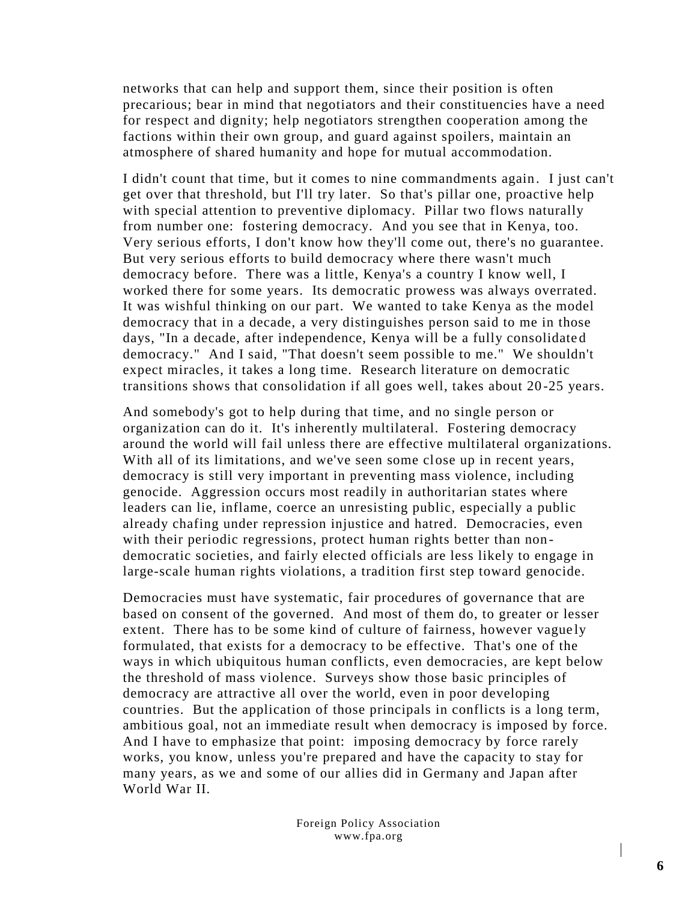networks that can help and support them, since their position is often precarious; bear in mind that negotiators and their constituencies have a need for respect and dignity; help negotiators strengthen cooperation among the factions within their own group, and guard against spoilers, maintain an atmosphere of shared humanity and hope for mutual accommodation.

I didn't count that time, but it comes to nine commandments again . I just can't get over that threshold, but I'll try later. So that's pillar one, proactive help with special attention to preventive diplomacy. Pillar two flows naturally from number one: fostering democracy. And you see that in Kenya, too. Very serious efforts, I don't know how they'll come out, there's no guarantee. But very serious efforts to build democracy where there wasn't much democracy before. There was a little, Kenya's a country I know well, I worked there for some years. Its democratic prowess was always overrated. It was wishful thinking on our part. We wanted to take Kenya as the model democracy that in a decade, a very distinguishes person said to me in those days, "In a decade, after independence, Kenya will be a fully consolidate d democracy." And I said, "That doesn't seem possible to me." We shouldn't expect miracles, it takes a long time. Research literature on democratic transitions shows that consolidation if all goes well, takes about 20 -25 years.

And somebody's got to help during that time, and no single person or organization can do it. It's inherently multilateral. Fostering democracy around the world will fail unless there are effective multilateral organizations. With all of its limitations, and we've seen some close up in recent years, democracy is still very important in preventing mass violence, including genocide. Aggression occurs most readily in authoritarian states where leaders can lie, inflame, coerce an unresisting public, especially a public already chafing under repression injustice and hatred. Democracies, even with their periodic regressions, protect human rights better than nondemocratic societies, and fairly elected officials are less likely to engage in large-scale human rights violations, a tradition first step toward genocide.

Democracies must have systematic, fair procedures of governance that are based on consent of the governed. And most of them do, to greater or lesser extent. There has to be some kind of culture of fairness, however vague ly formulated, that exists for a democracy to be effective. That's one of the ways in which ubiquitous human conflicts, even democracies, are kept below the threshold of mass violence. Surveys show those basic principles of democracy are attractive all over the world, even in poor developing countries. But the application of those principals in conflicts is a long term, ambitious goal, not an immediate result when democracy is imposed by force. And I have to emphasize that point: imposing democracy by force rarely works, you know, unless you're prepared and have the capacity to stay for many years, as we and some of our allies did in Germany and Japan after World War II.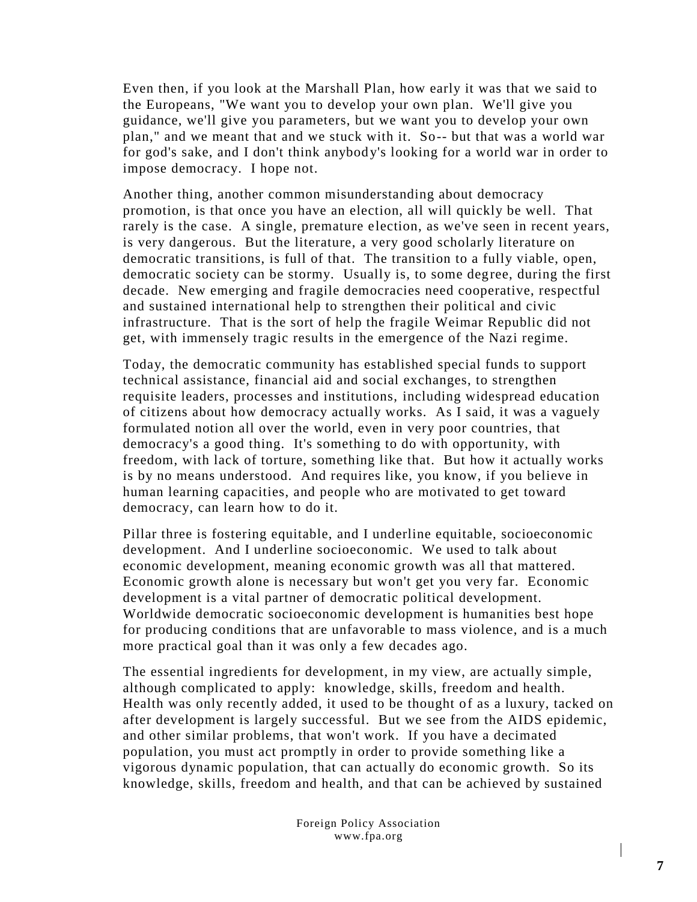Even then, if you look at the Marshall Plan, how early it was that we said to the Europeans, "We want you to develop your own plan. We'll give you guidance, we'll give you parameters, but we want you to develop your own plan," and we meant that and we stuck with it. So-- but that was a world war for god's sake, and I don't think anybody's looking for a world war in order to impose democracy. I hope not.

Another thing, another common misunderstanding about democracy promotion, is that once you have an election, all will quickly be well. That rarely is the case. A single, premature election, as we've seen in recent years, is very dangerous. But the literature, a very good scholarly literature on democratic transitions, is full of that. The transition to a fully viable, open, democratic society can be stormy. Usually is, to some degree, during the first decade. New emerging and fragile democracies need cooperative, respectful and sustained international help to strengthen their political and civic infrastructure. That is the sort of help the fragile Weimar Republic did not get, with immensely tragic results in the emergence of the Nazi regime.

Today, the democratic community has established special funds to support technical assistance, financial aid and social exchanges, to strengthen requisite leaders, processes and institutions, including widespread education of citizens about how democracy actually works. As I said, it was a vaguely formulated notion all over the world, even in very poor countries, that democracy's a good thing. It's something to do with opportunity, with freedom, with lack of torture, something like that. But how it actually works is by no means understood. And requires like, you know, if you believe in human learning capacities, and people who are motivated to get toward democracy, can learn how to do it.

Pillar three is fostering equitable, and I underline equitable, socioeconomic development. And I underline socioeconomic. We used to talk about economic development, meaning economic growth was all that mattered. Economic growth alone is necessary but won't get you very far. Economic development is a vital partner of democratic political development. Worldwide democratic socioeconomic development is humanities best hope for producing conditions that are unfavorable to mass violence, and is a much more practical goal than it was only a few decades ago.

The essential ingredients for development, in my view, are actually simple, although complicated to apply: knowledge, skills, freedom and health. Health was only recently added, it used to be thought of as a luxury, tacked on after development is largely successful. But we see from the AIDS epidemic, and other similar problems, that won't work. If you have a decimated population, you must act promptly in order to provide something like a vigorous dynamic population, that can actually do economic growth. So its knowledge, skills, freedom and health, and that can be achieved by sustained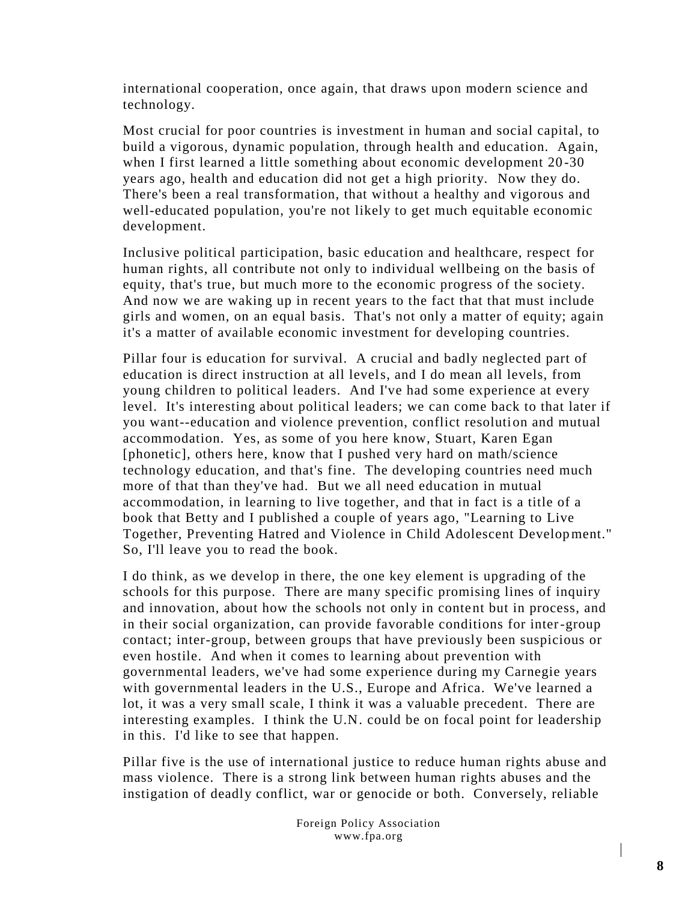international cooperation, once again, that draws upon modern science and technology.

Most crucial for poor countries is investment in human and social capital, to build a vigorous, dynamic population, through health and education. Again, when I first learned a little something about economic development 20-30 years ago, health and education did not get a high priority. Now they do. There's been a real transformation, that without a healthy and vigorous and well-educated population, you're not likely to get much equitable economic development.

Inclusive political participation, basic education and healthcare, respect for human rights, all contribute not only to individual wellbeing on the basis of equity, that's true, but much more to the economic progress of the society. And now we are waking up in recent years to the fact that that must include girls and women, on an equal basis. That's not only a matter of equity; again it's a matter of available economic investment for developing countries.

Pillar four is education for survival. A crucial and badly neglected part of education is direct instruction at all levels, and I do mean all levels, from young children to political leaders. And I've had some experience at every level. It's interesting about political leaders; we can come back to that later if you want--education and violence prevention, conflict resolution and mutual accommodation. Yes, as some of you here know, Stuart, Karen Egan [phonetic], others here, know that I pushed very hard on math/science technology education, and that's fine. The developing countries need much more of that than they've had. But we all need education in mutual accommodation, in learning to live together, and that in fact is a title of a book that Betty and I published a couple of years ago, "Learning to Live Together, Preventing Hatred and Violence in Child Adolescent Development." So, I'll leave you to read the book.

I do think, as we develop in there, the one key element is upgrading of the schools for this purpose. There are many specific promising lines of inquiry and innovation, about how the schools not only in content but in process, and in their social organization, can provide favorable conditions for inter-group contact; inter-group, between groups that have previously been suspicious or even hostile. And when it comes to learning about prevention with governmental leaders, we've had some experience during my Carnegie years with governmental leaders in the U.S., Europe and Africa. We've learned a lot, it was a very small scale, I think it was a valuable precedent. There are interesting examples. I think the U.N. could be on focal point for leadership in this. I'd like to see that happen.

Pillar five is the use of international justice to reduce human rights abuse and mass violence. There is a strong link between human rights abuses and the instigation of deadly conflict, war or genocide or both. Conversely, reliable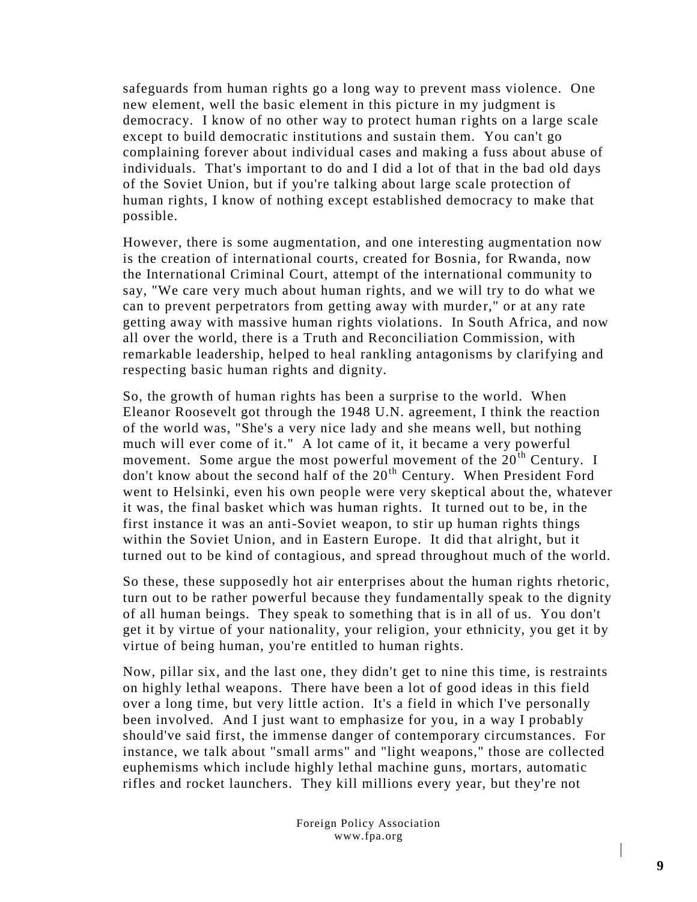safeguards from human rights go a long way to prevent mass violence. One new element, well the basic element in this picture in my judgment is democracy. I know of no other way to protect human rights on a large scale except to build democratic institutions and sustain them. You can't go complaining forever about individual cases and making a fuss about abuse of individuals. That's important to do and I did a lot of that in the bad old days of the Soviet Union, but if you're talking about large scale protection of human rights, I know of nothing except established democracy to make that possible.

However, there is some augmentation, and one interesting augmentation now is the creation of international courts, created for Bosnia, for Rwanda, now the International Criminal Court, attempt of the international community to say, "We care very much about human rights, and we will try to do what we can to prevent perpetrators from getting away with murder," or at any rate getting away with massive human rights violations. In South Africa, and now all over the world, there is a Truth and Reconciliation Commission, with remarkable leadership, helped to heal rankling antagonisms by clarifying and respecting basic human rights and dignity.

So, the growth of human rights has been a surprise to the world. When Eleanor Roosevelt got through the 1948 U.N. agreement, I think the reaction of the world was, "She's a very nice lady and she means well, but nothing much will ever come of it." A lot came of it, it became a very powerful movement. Some argue the most powerful movement of the  $20<sup>th</sup>$  Century. I don't know about the second half of the  $20<sup>th</sup>$  Century. When President Ford went to Helsinki, even his own people were very skeptical about the, whatever it was, the final basket which was human rights. It turned out to be, in the first instance it was an anti-Soviet weapon, to stir up human rights things within the Soviet Union, and in Eastern Europe. It did that alright, but it turned out to be kind of contagious, and spread throughout much of the world.

So these, these supposedly hot air enterprises about the human rights rhetoric, turn out to be rather powerful because they fundamentally speak to the dignity of all human beings. They speak to something that is in all of us. You don't get it by virtue of your nationality, your religion, your ethnicity, you get it by virtue of being human, you're entitled to human rights.

Now, pillar six, and the last one, they didn't get to nine this time, is restraints on highly lethal weapons. There have been a lot of good ideas in this field over a long time, but very little action. It's a field in which I've personally been involved. And I just want to emphasize for you, in a way I probably should've said first, the immense danger of contemporary circumstances. For instance, we talk about "small arms" and "light weapons," those are collected euphemisms which include highly lethal machine guns, mortars, automatic rifles and rocket launchers. They kill millions every year, but they're not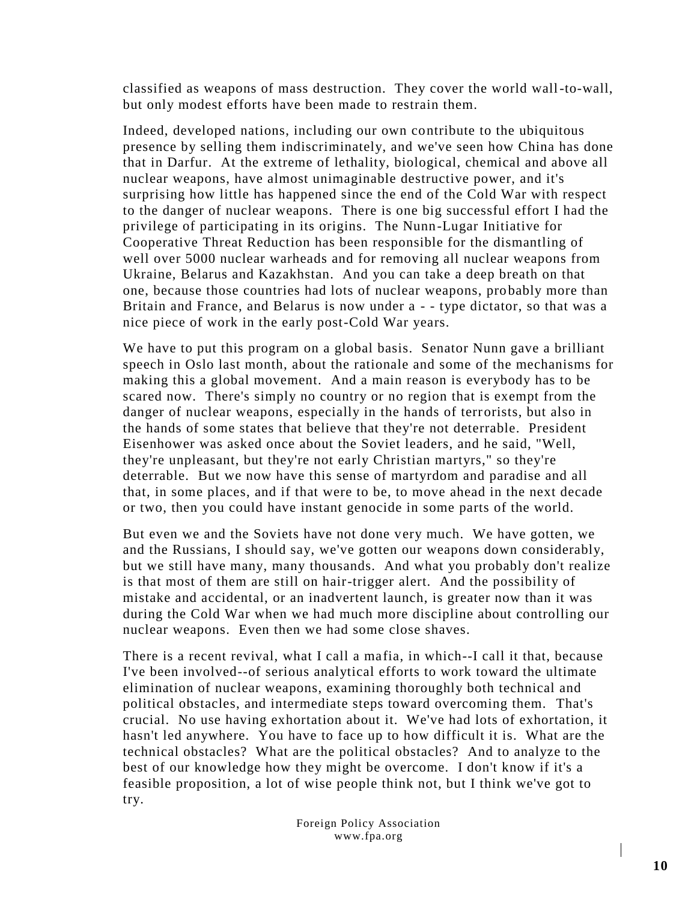classified as weapons of mass destruction. They cover the world wall-to-wall, but only modest efforts have been made to restrain them.

Indeed, developed nations, including our own contribute to the ubiquitous presence by selling them indiscriminately, and we've seen how China has done that in Darfur. At the extreme of lethality, biological, chemical and above all nuclear weapons, have almost unimaginable destructive power, and it's surprising how little has happened since the end of the Cold War with respect to the danger of nuclear weapons. There is one big successful effort I had the privilege of participating in its origins. The Nunn-Lugar Initiative for Cooperative Threat Reduction has been responsible for the dismantling of well over 5000 nuclear warheads and for removing all nuclear weapons from Ukraine, Belarus and Kazakhstan. And you can take a deep breath on that one, because those countries had lots of nuclear weapons, pro bably more than Britain and France, and Belarus is now under a - - type dictator, so that was a nice piece of work in the early post-Cold War years.

We have to put this program on a global basis. Senator Nunn gave a brilliant speech in Oslo last month, about the rationale and some of the mechanisms for making this a global movement. And a main reason is everybody has to be scared now. There's simply no country or no region that is exempt from the danger of nuclear weapons, especially in the hands of terrorists, but also in the hands of some states that believe that they're not deterrable. President Eisenhower was asked once about the Soviet leaders, and he said, "Well, they're unpleasant, but they're not early Christian martyrs," so they're deterrable. But we now have this sense of martyrdom and paradise and all that, in some places, and if that were to be, to move ahead in the next decade or two, then you could have instant genocide in some parts of the world.

But even we and the Soviets have not done very much. We have gotten, we and the Russians, I should say, we've gotten our weapons down considerably, but we still have many, many thousands. And what you probably don't realize is that most of them are still on hair-trigger alert. And the possibility of mistake and accidental, or an inadvertent launch, is greater now than it was during the Cold War when we had much more discipline about controlling our nuclear weapons. Even then we had some close shaves.

There is a recent revival, what I call a mafia, in which--I call it that, because I've been involved--of serious analytical efforts to work toward the ultimate elimination of nuclear weapons, examining thoroughly both technical and political obstacles, and intermediate steps toward overcoming them. That's crucial. No use having exhortation about it. We've had lots of exhortation, it hasn't led anywhere. You have to face up to how difficult it is. What are the technical obstacles? What are the political obstacles? And to analyze to the best of our knowledge how they might be overcome. I don't know if it's a feasible proposition, a lot of wise people think not, but I think we've got to try.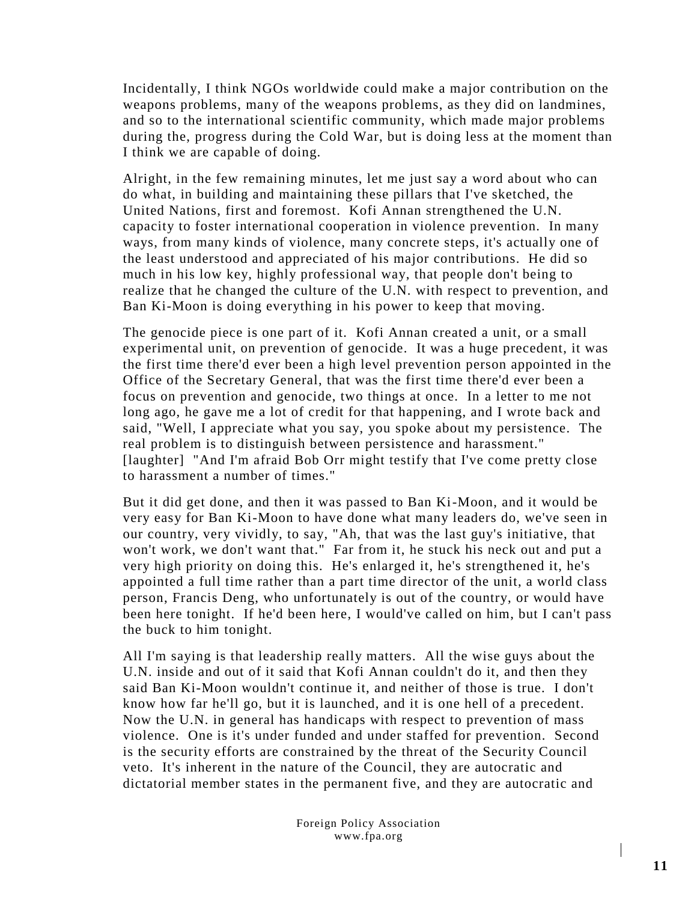Incidentally, I think NGOs worldwide could make a major contribution on the weapons problems, many of the weapons problems, as they did on landmines, and so to the international scientific community, which made major problems during the, progress during the Cold War, but is doing less at the moment than I think we are capable of doing.

Alright, in the few remaining minutes, let me just say a word about who can do what, in building and maintaining these pillars that I've sketched, the United Nations, first and foremost. Kofi Annan strengthened the U.N. capacity to foster international cooperation in violence prevention. In many ways, from many kinds of violence, many concrete steps, it's actually one of the least understood and appreciated of his major contributions. He did so much in his low key, highly professional way, that people don't being to realize that he changed the culture of the U.N. with respect to prevention, and Ban Ki-Moon is doing everything in his power to keep that moving.

The genocide piece is one part of it. Kofi Annan created a unit, or a small experimental unit, on prevention of genocide. It was a huge precedent, it was the first time there'd ever been a high level prevention person appointed in the Office of the Secretary General, that was the first time there'd ever been a focus on prevention and genocide, two things at once. In a letter to me not long ago, he gave me a lot of credit for that happening, and I wrote back and said, "Well, I appreciate what you say, you spoke about my persistence. The real problem is to distinguish between persistence and harassment." [laughter] "And I'm afraid Bob Orr might testify that I've come pretty close to harassment a number of times."

But it did get done, and then it was passed to Ban Ki-Moon, and it would be very easy for Ban Ki-Moon to have done what many leaders do, we've seen in our country, very vividly, to say, "Ah, that was the last guy's initiative, that won't work, we don't want that." Far from it, he stuck his neck out and put a very high priority on doing this. He's enlarged it, he's strengthened it, he's appointed a full time rather than a part time director of the unit, a world class person, Francis Deng, who unfortunately is out of the country, or would have been here tonight. If he'd been here, I would've called on him, but I can't pass the buck to him tonight.

All I'm saying is that leadership really matters. All the wise guys about the U.N. inside and out of it said that Kofi Annan couldn't do it, and then they said Ban Ki-Moon wouldn't continue it, and neither of those is true. I don't know how far he'll go, but it is launched, and it is one hell of a precedent. Now the U.N. in general has handicaps with respect to prevention of mass violence. One is it's under funded and under staffed for prevention. Second is the security efforts are constrained by the threat of the Security Council veto. It's inherent in the nature of the Council, they are autocratic and dictatorial member states in the permanent five, and they are autocratic and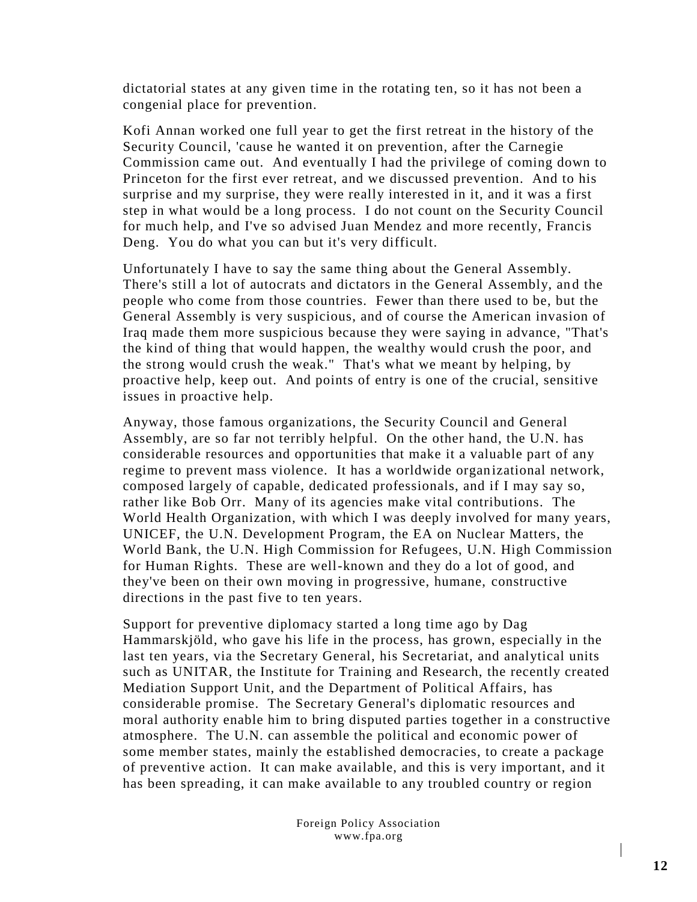dictatorial states at any given time in the rotating ten, so it has not been a congenial place for prevention.

Kofi Annan worked one full year to get the first retreat in the history of the Security Council, 'cause he wanted it on prevention, after the Carnegie Commission came out. And eventually I had the privilege of coming down to Princeton for the first ever retreat, and we discussed prevention. And to his surprise and my surprise, they were really interested in it, and it was a first step in what would be a long process. I do not count on the Security Council for much help, and I've so advised Juan Mendez and more recently, Francis Deng. You do what you can but it's very difficult.

Unfortunately I have to say the same thing about the General Assembly. There's still a lot of autocrats and dictators in the General Assembly, an d the people who come from those countries. Fewer than there used to be, but the General Assembly is very suspicious, and of course the American invasion of Iraq made them more suspicious because they were saying in advance, "That's the kind of thing that would happen, the wealthy would crush the poor, and the strong would crush the weak." That's what we meant by helping, by proactive help, keep out. And points of entry is one of the crucial, sensitive issues in proactive help.

Anyway, those famous organizations, the Security Council and General Assembly, are so far not terribly helpful. On the other hand, the U.N. has considerable resources and opportunities that make it a valuable part of any regime to prevent mass violence. It has a worldwide organizational network, composed largely of capable, dedicated professionals, and if I may say so, rather like Bob Orr. Many of its agencies make vital contributions. The World Health Organization, with which I was deeply involved for many years, UNICEF, the U.N. Development Program, the EA on Nuclear Matters, the World Bank, the U.N. High Commission for Refugees, U.N. High Commission for Human Rights. These are well-known and they do a lot of good, and they've been on their own moving in progressive, humane, constructive directions in the past five to ten years.

Support for preventive diplomacy started a long time ago by Dag [Hammarskjöld,](http://en.wikipedia.org/wiki/Dag_Hammarskj%C3%B6ld) who gave his life in the process, has grown, especially in the last ten years, via the Secretary General, his Secretariat, and analytical units such as UNITAR, the Institute for Training and Research, the recently created Mediation Support Unit, and the Department of Political Affairs, has considerable promise. The Secretary General's diplomatic resources and moral authority enable him to bring disputed parties together in a constructive atmosphere. The U.N. can assemble the political and economic power of some member states, mainly the established democracies, to create a package of preventive action. It can make available, and this is very important, and it has been spreading, it can make available to any troubled country or region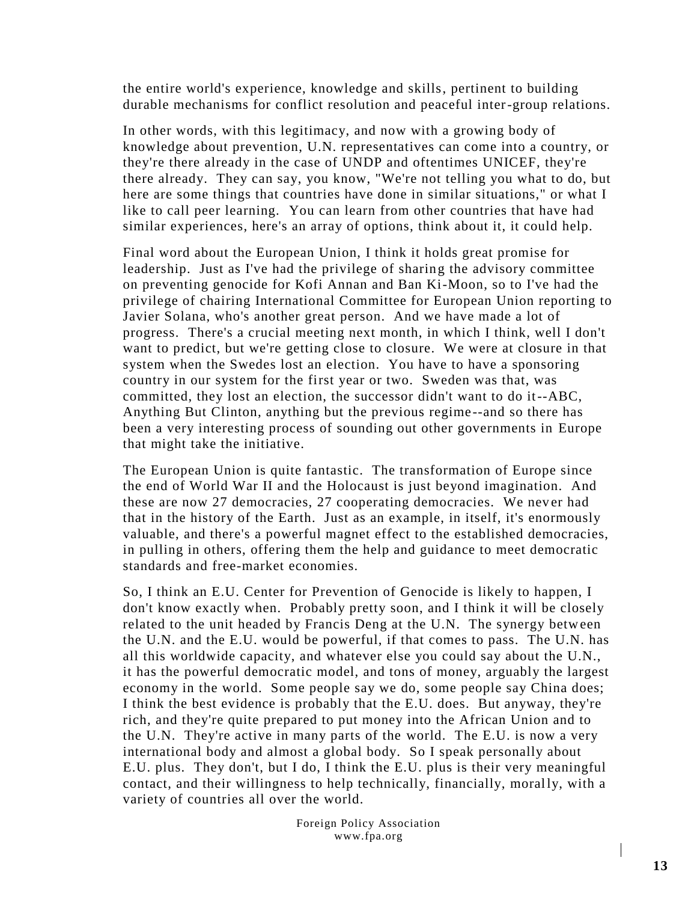the entire world's experience, knowledge and skills, pertinent to building durable mechanisms for conflict resolution and peaceful inter-group relations.

In other words, with this legitimacy, and now with a growing body of knowledge about prevention, U.N. representatives can come into a country, or they're there already in the case of UNDP and oftentimes UNICEF, they're there already. They can say, you know, "We're not telling you what to do, but here are some things that countries have done in similar situations," or what I like to call peer learning. You can learn from other countries that have had similar experiences, here's an array of options, think about it, it could help.

Final word about the European Union, I think it holds great promise for leadership. Just as I've had the privilege of sharing the advisory committee on preventing genocide for Kofi Annan and Ban Ki-Moon, so to I've had the privilege of chairing International Committee for European Union reporting to Javier Solana, who's another great person. And we have made a lot of progress. There's a crucial meeting next month, in which I think, well I don't want to predict, but we're getting close to closure. We were at closure in that system when the Swedes lost an election. You have to have a sponsoring country in our system for the first year or two. Sweden was that, was committed, they lost an election, the successor didn't want to do it--ABC, Anything But Clinton, anything but the previous regime --and so there has been a very interesting process of sounding out other governments in Europe that might take the initiative.

The European Union is quite fantastic. The transformation of Europe since the end of World War II and the Holocaust is just beyond imagination. And these are now 27 democracies, 27 cooperating democracies. We never had that in the history of the Earth. Just as an example, in itself, it's enormously valuable, and there's a powerful magnet effect to the established democracies, in pulling in others, offering them the help and guidance to meet democratic standards and free-market economies.

So, I think an E.U. Center for Prevention of Genocide is likely to happen, I don't know exactly when. Probably pretty soon, and I think it will be closely related to the unit headed by Francis Deng at the U.N. The synergy between the U.N. and the E.U. would be powerful, if that comes to pass. The U.N. has all this worldwide capacity, and whatever else you could say about the U.N., it has the powerful democratic model, and tons of money, arguably the largest economy in the world. Some people say we do, some people say China does; I think the best evidence is probably that the E.U. does. But anyway, they're rich, and they're quite prepared to put money into the African Union and to the U.N. They're active in many parts of the world. The E.U. is now a very international body and almost a global body. So I speak personally about E.U. plus. They don't, but I do, I think the E.U. plus is their very meaningful contact, and their willingness to help technically, financially, morally, with a variety of countries all over the world.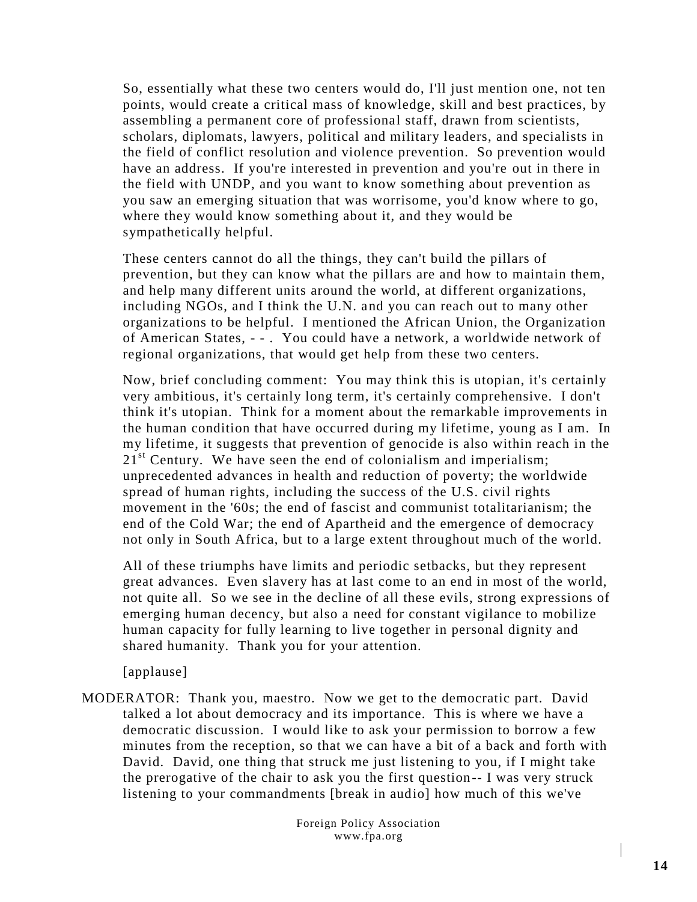So, essentially what these two centers would do, I'll just mention one, not ten points, would create a critical mass of knowledge, skill and best practices, by assembling a permanent core of professional staff, drawn from scientists, scholars, diplomats, lawyers, political and military leaders, and specialists in the field of conflict resolution and violence prevention. So prevention would have an address. If you're interested in prevention and you're out in there in the field with UNDP, and you want to know something about prevention as you saw an emerging situation that was worrisome, you'd know where to go, where they would know something about it, and they would be sympathetically helpful.

These centers cannot do all the things, they can't build the pillars of prevention, but they can know what the pillars are and how to maintain them, and help many different units around the world, at different organizations, including NGOs, and I think the U.N. and you can reach out to many other organizations to be helpful. I mentioned the African Union, the Organization of American States, - - . You could have a network, a worldwide network of regional organizations, that would get help from these two centers.

Now, brief concluding comment: You may think this is utopian, it's certainly very ambitious, it's certainly long term, it's certainly comprehensive. I don't think it's utopian. Think for a moment about the remarkable improvements in the human condition that have occurred during my lifetime, young as I am. In my lifetime, it suggests that prevention of genocide is also within reach in the  $21<sup>st</sup>$  Century. We have seen the end of colonialism and imperialism; unprecedented advances in health and reduction of poverty; the worldwide spread of human rights, including the success of the U.S. civil rights movement in the '60s; the end of fascist and communist totalitarianism; the end of the Cold War; the end of Apartheid and the emergence of democracy not only in South Africa, but to a large extent throughout much of the world.

All of these triumphs have limits and periodic setbacks, but they represent great advances. Even slavery has at last come to an end in most of the world, not quite all. So we see in the decline of all these evils, strong expressions of emerging human decency, but also a need for constant vigilance to mobilize human capacity for fully learning to live together in personal dignity and shared humanity. Thank you for your attention.

[applause]

MODERATOR: Thank you, maestro. Now we get to the democratic part. David talked a lot about democracy and its importance. This is where we have a democratic discussion. I would like to ask your permission to borrow a few minutes from the reception, so that we can have a bit of a back and forth with David. David, one thing that struck me just listening to you, if I might take the prerogative of the chair to ask you the first question-- I was very struck listening to your commandments [break in audio] how much of this we've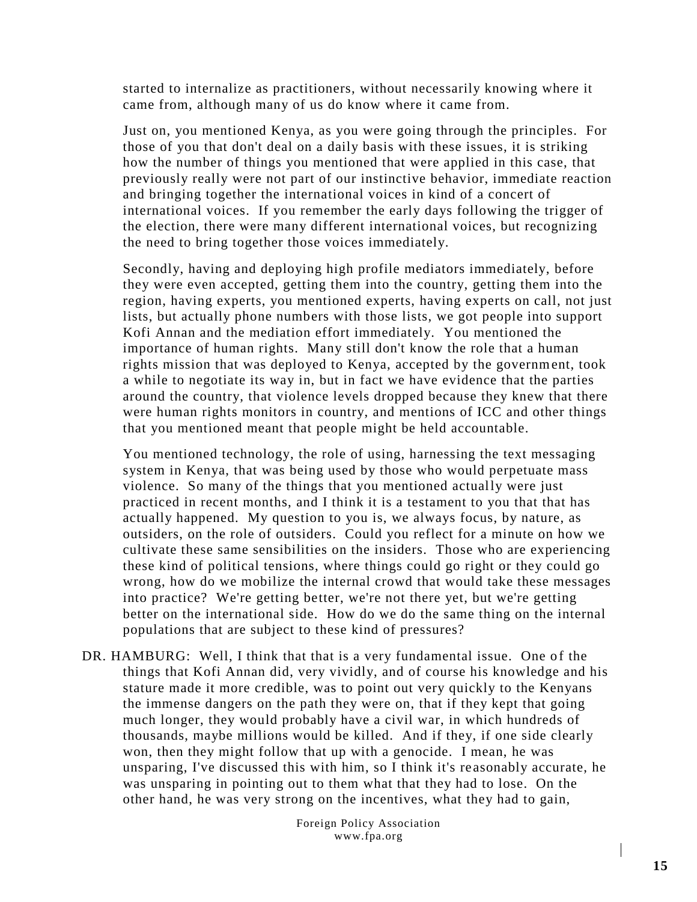started to internalize as practitioners, without necessarily knowing where it came from, although many of us do know where it came from.

Just on, you mentioned Kenya, as you were going through the principles. For those of you that don't deal on a daily basis with these issues, it is striking how the number of things you mentioned that were applied in this case, that previously really were not part of our instinctive behavior, immediate reaction and bringing together the international voices in kind of a concert of international voices. If you remember the early days following the trigger of the election, there were many different international voices, but recognizing the need to bring together those voices immediately.

Secondly, having and deploying high profile mediators immediately, before they were even accepted, getting them into the country, getting them into the region, having experts, you mentioned experts, having experts on call, not just lists, but actually phone numbers with those lists, we got people into support Kofi Annan and the mediation effort immediately. You mentioned the importance of human rights. Many still don't know the role that a human rights mission that was deployed to Kenya, accepted by the government, took a while to negotiate its way in, but in fact we have evidence that the parties around the country, that violence levels dropped because they knew that there were human rights monitors in country, and mentions of ICC and other things that you mentioned meant that people might be held accountable.

You mentioned technology, the role of using, harnessing the text messaging system in Kenya, that was being used by those who would perpetuate mass violence. So many of the things that you mentioned actually were just practiced in recent months, and I think it is a testament to you that that has actually happened. My question to you is, we always focus, by nature, as outsiders, on the role of outsiders. Could you reflect for a minute on how we cultivate these same sensibilities on the insiders. Those who are experiencing these kind of political tensions, where things could go right or they could go wrong, how do we mobilize the internal crowd that would take these messages into practice? We're getting better, we're not there yet, but we're getting better on the international side. How do we do the same thing on the internal populations that are subject to these kind of pressures?

DR. HAMBURG: Well, I think that that is a very fundamental issue. One of the things that Kofi Annan did, very vividly, and of course his knowledge and his stature made it more credible, was to point out very quickly to the Kenyans the immense dangers on the path they were on, that if they kept that going much longer, they would probably have a civil war, in which hundreds of thousands, maybe millions would be killed. And if they, if one side clearly won, then they might follow that up with a genocide. I mean, he was unsparing, I've discussed this with him, so I think it's re asonably accurate, he was unsparing in pointing out to them what that they had to lose. On the other hand, he was very strong on the incentives, what they had to gain,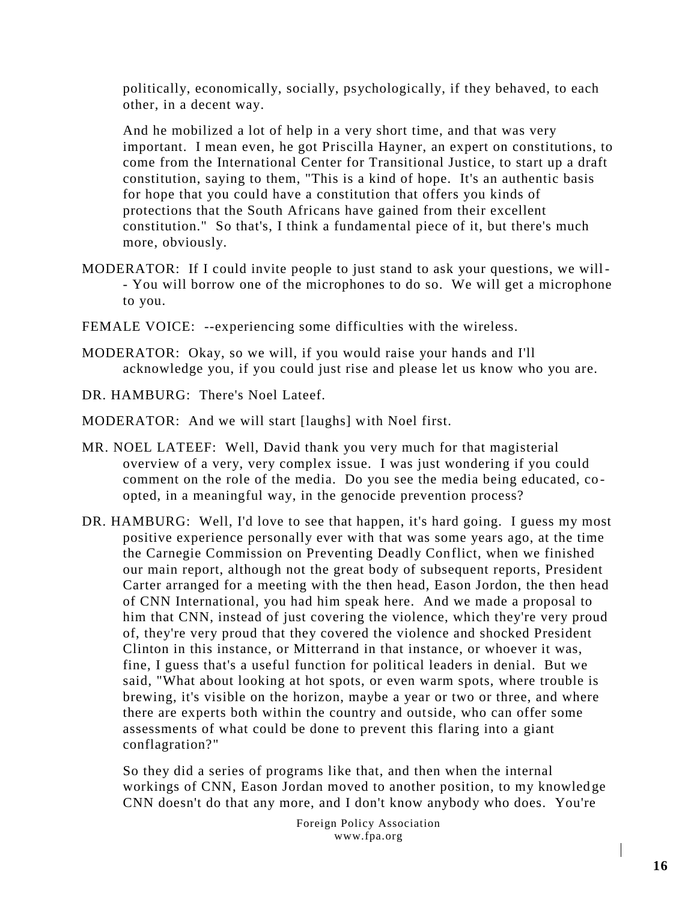politically, economically, socially, psychologically, if they behaved, to each other, in a decent way.

And he mobilized a lot of help in a very short time, and that was very important. I mean even, he got Priscilla Hayner, an expert on constitutions, to come from the International Center for Transitional Justice, to start up a draft constitution, saying to them, "This is a kind of hope. It's an authentic basis for hope that you could have a constitution that offers you kinds of protections that the South Africans have gained from their excellent constitution." So that's, I think a fundamental piece of it, but there's much more, obviously.

- MODERATOR: If I could invite people to just stand to ask your questions, we will- - You will borrow one of the microphones to do so. We will get a microphone to you.
- FEMALE VOICE: --experiencing some difficulties with the wireless.
- MODERATOR: Okay, so we will, if you would raise your hands and I'll acknowledge you, if you could just rise and please let us know who you are.
- DR. HAMBURG: There's Noel Lateef.
- MODERATOR: And we will start [laughs] with Noel first.
- MR. NOEL LATEEF: Well, David thank you very much for that magisterial overview of a very, very complex issue. I was just wondering if you could comment on the role of the media. Do you see the media being educated, coopted, in a meaningful way, in the genocide prevention process?
- DR. HAMBURG: Well, I'd love to see that happen, it's hard going. I guess my most positive experience personally ever with that was some years ago, at the time the Carnegie Commission on Preventing Deadly Conflict, when we finished our main report, although not the great body of subsequent reports, President Carter arranged for a meeting with the then head, Eason Jordon, the then head of CNN International, you had him speak here. And we made a proposal to him that CNN, instead of just covering the violence, which they're very proud of, they're very proud that they covered the violence and shocked President Clinton in this instance, or Mitterrand in that instance, or whoever it was, fine, I guess that's a useful function for political leaders in denial. But we said, "What about looking at hot spots, or even warm spots, where trouble is brewing, it's visible on the horizon, maybe a year or two or three, and where there are experts both within the country and outside, who can offer some assessments of what could be done to prevent this flaring into a giant conflagration?"

So they did a series of programs like that, and then when the internal workings of CNN, Eason Jordan moved to another position, to my knowled ge CNN doesn't do that any more, and I don't know anybody who does. You're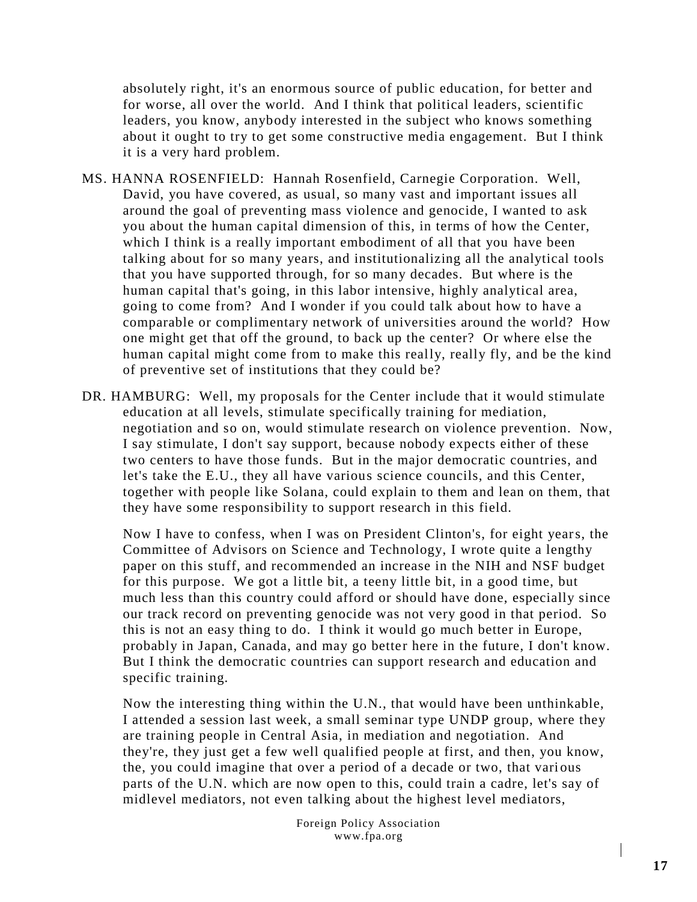absolutely right, it's an enormous source of public education, for better and for worse, all over the world. And I think that political leaders, scientific leaders, you know, anybody interested in the subject who knows something about it ought to try to get some constructive media engagement. But I think it is a very hard problem.

- MS. HANNA ROSENFIELD: Hannah Rosenfield, Carnegie Corporation. Well, David, you have covered, as usual, so many vast and important issues all around the goal of preventing mass violence and genocide, I wanted to ask you about the human capital dimension of this, in terms of how the Center, which I think is a really important embodiment of all that you have been talking about for so many years, and institutionalizing all the analytical tools that you have supported through, for so many decades. But where is the human capital that's going, in this labor intensive, highly analytical area, going to come from? And I wonder if you could talk about how to have a comparable or complimentary network of universities around the world? How one might get that off the ground, to back up the center? Or where else the human capital might come from to make this really, really fly, and be the kind of preventive set of institutions that they could be?
- DR. HAMBURG: Well, my proposals for the Center include that it would stimulate education at all levels, stimulate specifically training for mediation, negotiation and so on, would stimulate research on violence prevention. Now, I say stimulate, I don't say support, because nobody expects either of these two centers to have those funds. But in the major democratic countries, and let's take the E.U., they all have various science councils, and this Center, together with people like Solana, could explain to them and lean on them, that they have some responsibility to support research in this field.

Now I have to confess, when I was on President Clinton's, for eight years, the Committee of Advisors on Science and Technology, I wrote quite a lengthy paper on this stuff, and recommended an increase in the NIH and NSF budget for this purpose. We got a little bit, a teeny little bit, in a good time, but much less than this country could afford or should have done, especially since our track record on preventing genocide was not very good in that period. So this is not an easy thing to do. I think it would go much better in Europe, probably in Japan, Canada, and may go better here in the future, I don't know. But I think the democratic countries can support research and education and specific training.

Now the interesting thing within the U.N., that would have been unthinkable, I attended a session last week, a small seminar type UNDP group, where they are training people in Central Asia, in mediation and negotiation. And they're, they just get a few well qualified people at first, and then, you know, the, you could imagine that over a period of a decade or two, that various parts of the U.N. which are now open to this, could train a cadre, let's say of midlevel mediators, not even talking about the highest level mediators,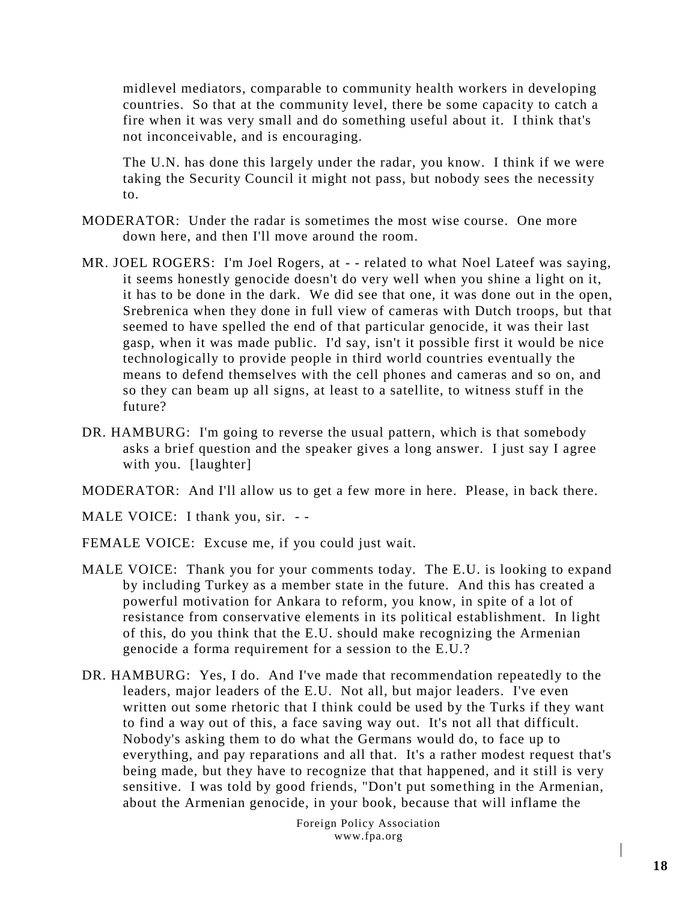midlevel mediators, comparable to community health workers in developing countries. So that at the community level, there be some capacity to catch a fire when it was very small and do something useful about it. I think that's not inconceivable, and is encouraging.

The U.N. has done this largely under the radar, you know. I think if we were taking the Security Council it might not pass, but nobody sees the necessity to.

- MODERATOR: Under the radar is sometimes the most wise course. One more down here, and then I'll move around the room.
- MR. JOEL ROGERS: I'm Joel Rogers, at - related to what Noel Lateef was saying, it seems honestly genocide doesn't do very well when you shine a light on it, it has to be done in the dark. We did see that one, it was done out in the open, Srebrenica when they done in full view of cameras with Dutch troops, but that seemed to have spelled the end of that particular genocide, it was their last gasp, when it was made public. I'd say, isn't it possible first it would be nice technologically to provide people in third world countries eventually the means to defend themselves with the cell phones and cameras and so on, and so they can beam up all signs, at least to a satellite, to witness stuff in the future?
- DR. HAMBURG: I'm going to reverse the usual pattern, which is that somebody asks a brief question and the speaker gives a long answer. I just say I agree with you. [laughter]
- MODERATOR: And I'll allow us to get a few more in here. Please, in back there.
- MALE VOICE: I thank you, sir. --
- FEMALE VOICE: Excuse me, if you could just wait.
- MALE VOICE: Thank you for your comments today. The E.U. is looking to expand by including Turkey as a member state in the future. And this has created a powerful motivation for Ankara to reform, you know, in spite of a lot of resistance from conservative elements in its political establishment. In light of this, do you think that the E.U. should make recognizing the Armenian genocide a forma requirement for a session to the E.U.?
- DR. HAMBURG: Yes, I do. And I've made that recommendation repeatedly to the leaders, major leaders of the E.U. Not all, but major leaders. I've even written out some rhetoric that I think could be used by the Turks if they want to find a way out of this, a face saving way out. It's not all that difficult. Nobody's asking them to do what the Germans would do, to face up to everything, and pay reparations and all that. It's a rather modest request that's being made, but they have to recognize that that happened, and it still is very sensitive. I was told by good friends, "Don't put something in the Armenian, about the Armenian genocide, in your book, because that will inflame the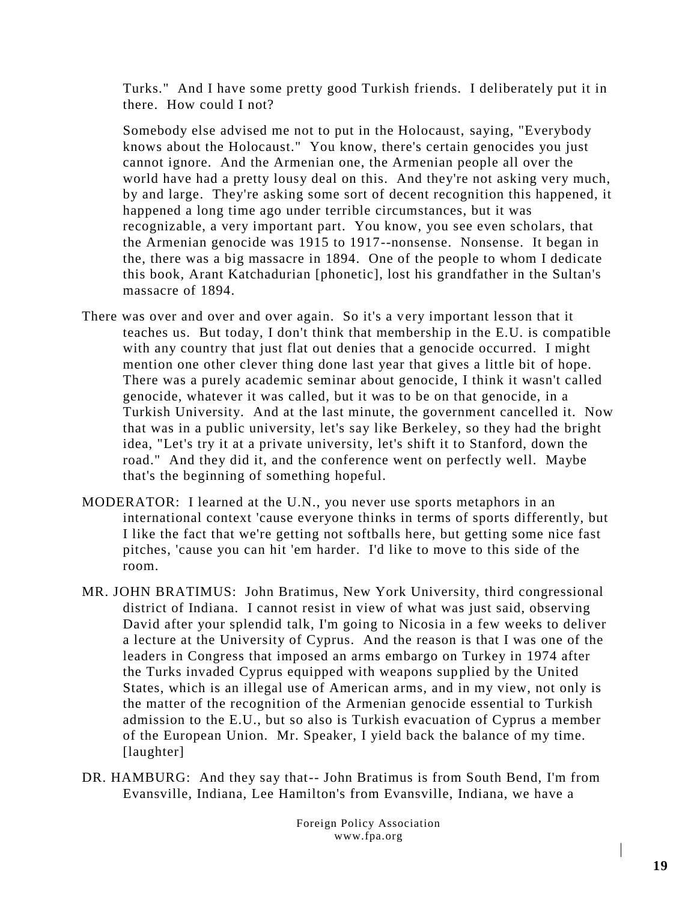Turks." And I have some pretty good Turkish friends. I deliberately put it in there. How could I not?

Somebody else advised me not to put in the Holocaust, saying, "Everybody knows about the Holocaust." You know, there's certain genocides you just cannot ignore. And the Armenian one, the Armenian people all over the world have had a pretty lousy deal on this. And they're not asking very much, by and large. They're asking some sort of decent recognition this happened, it happened a long time ago under terrible circumstances, but it was recognizable, a very important part. You know, you see even scholars, that the Armenian genocide was 1915 to 1917--nonsense. Nonsense. It began in the, there was a big massacre in 1894. One of the people to whom I dedicate this book, Arant Katchadurian [phonetic], lost his grandfather in the Sultan's massacre of 1894.

- There was over and over and over again. So it's a very important lesson that it teaches us. But today, I don't think that membership in the E.U. is compatible with any country that just flat out denies that a genocide occurred. I might mention one other clever thing done last year that gives a little bit of hope. There was a purely academic seminar about genocide, I think it wasn't called genocide, whatever it was called, but it was to be on that genocide, in a Turkish University. And at the last minute, the government cancelled it. Now that was in a public university, let's say like Berkeley, so they had the bright idea, "Let's try it at a private university, let's shift it to Stanford, down the road." And they did it, and the conference went on perfectly well. Maybe that's the beginning of something hopeful.
- MODERATOR: I learned at the U.N., you never use sports metaphors in an international context 'cause everyone thinks in terms of sports differently, but I like the fact that we're getting not softballs here, but getting some nice fast pitches, 'cause you can hit 'em harder. I'd like to move to this side of the room.
- MR. JOHN BRATIMUS: John Bratimus, New York University, third congressional district of Indiana. I cannot resist in view of what was just said, observing David after your splendid talk, I'm going to Nicosia in a few weeks to deliver a lecture at the University of Cyprus. And the reason is that I was one of the leaders in Congress that imposed an arms embargo on Turkey in 1974 after the Turks invaded Cyprus equipped with weapons supplied by the United States, which is an illegal use of American arms, and in my view, not only is the matter of the recognition of the Armenian genocide essential to Turkish admission to the E.U., but so also is Turkish evacuation of Cyprus a member of the European Union. Mr. Speaker, I yield back the balance of my time. [laughter]
- DR. HAMBURG: And they say that-- John Bratimus is from South Bend, I'm from Evansville, Indiana, Lee Hamilton's from Evansville, Indiana, we have a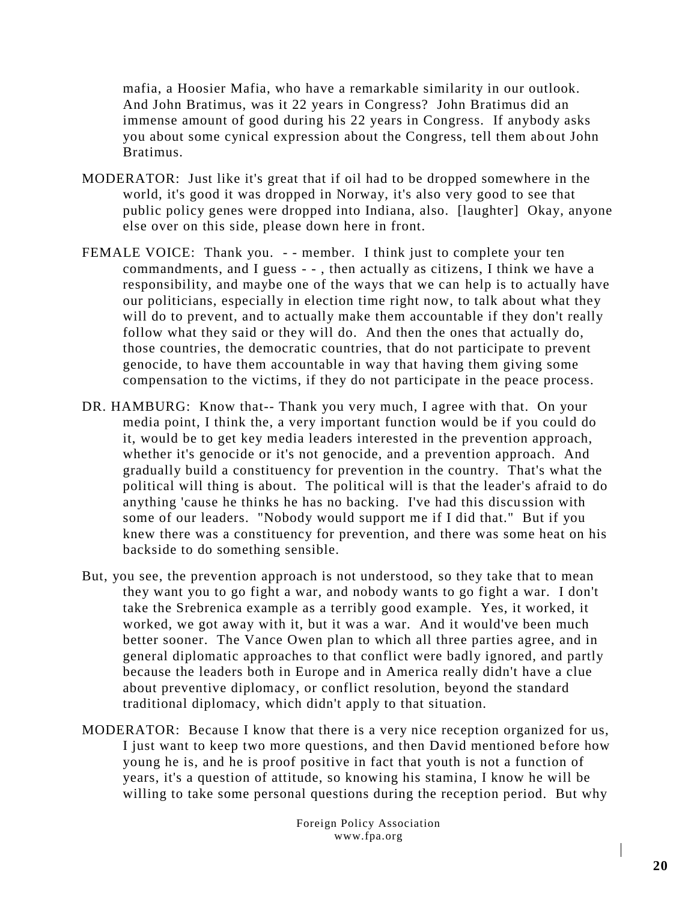mafia, a Hoosier Mafia, who have a remarkable similarity in our outlook. And John Bratimus, was it 22 years in Congress? John Bratimus did an immense amount of good during his 22 years in Congress. If anybody asks you about some cynical expression about the Congress, tell them ab out John Bratimus.

- MODERATOR: Just like it's great that if oil had to be dropped somewhere in the world, it's good it was dropped in Norway, it's also very good to see that public policy genes were dropped into Indiana, also. [laughter] Okay, anyone else over on this side, please down here in front.
- FEMALE VOICE: Thank you. - member. I think just to complete your ten commandments, and I guess - - , then actually as citizens, I think we have a responsibility, and maybe one of the ways that we can help is to actually have our politicians, especially in election time right now, to talk about what they will do to prevent, and to actually make them accountable if they don't really follow what they said or they will do. And then the ones that actually do, those countries, the democratic countries, that do not participate to prevent genocide, to have them accountable in way that having them giving some compensation to the victims, if they do not participate in the peace process.
- DR. HAMBURG: Know that-- Thank you very much, I agree with that. On your media point, I think the, a very important function would be if you could do it, would be to get key media leaders interested in the prevention approach, whether it's genocide or it's not genocide, and a prevention approach. And gradually build a constituency for prevention in the country. That's what the political will thing is about. The political will is that the leader's afraid to do anything 'cause he thinks he has no backing. I've had this discu ssion with some of our leaders. "Nobody would support me if I did that." But if you knew there was a constituency for prevention, and there was some heat on his backside to do something sensible.
- But, you see, the prevention approach is not understood, so they take that to mean they want you to go fight a war, and nobody wants to go fight a war. I don't take the Srebrenica example as a terribly good example. Yes, it worked, it worked, we got away with it, but it was a war. And it would've been much better sooner. The Vance Owen plan to which all three parties agree, and in general diplomatic approaches to that conflict were badly ignored, and partly because the leaders both in Europe and in America really didn't have a clue about preventive diplomacy, or conflict resolution, beyond the standard traditional diplomacy, which didn't apply to that situation.
- MODERATOR: Because I know that there is a very nice reception organized for us, I just want to keep two more questions, and then David mentioned b efore how young he is, and he is proof positive in fact that youth is not a function of years, it's a question of attitude, so knowing his stamina, I know he will be willing to take some personal questions during the reception period. But why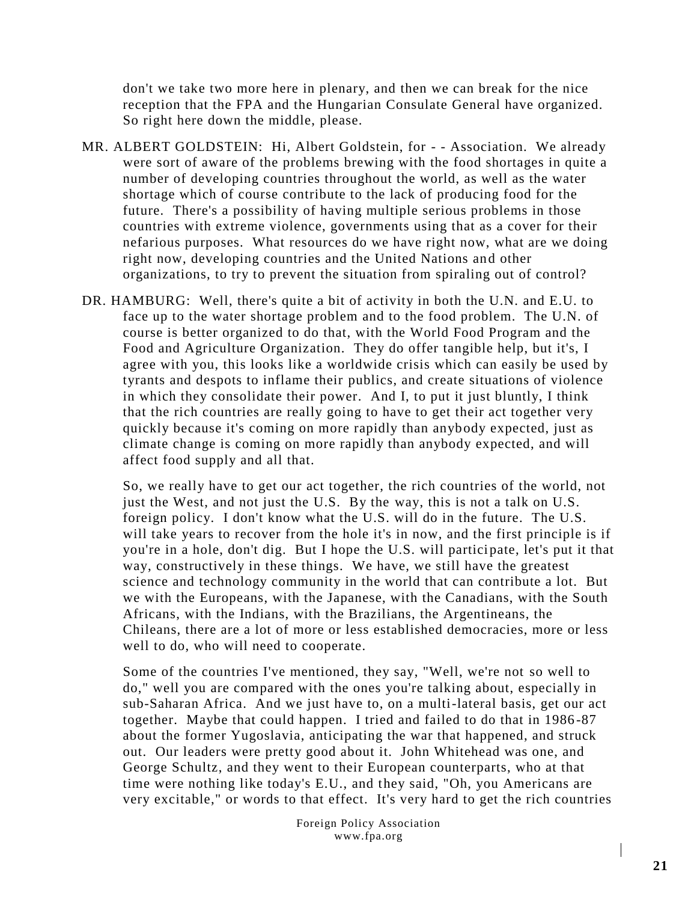don't we take two more here in plenary, and then we can break for the nice reception that the FPA and the Hungarian Consulate General have organized. So right here down the middle, please.

- MR. ALBERT GOLDSTEIN: Hi, Albert Goldstein, for - Association. We already were sort of aware of the problems brewing with the food shortages in quite a number of developing countries throughout the world, as well as the water shortage which of course contribute to the lack of producing food for the future. There's a possibility of having multiple serious problems in those countries with extreme violence, governments using that as a cover for their nefarious purposes. What resources do we have right now, what are we doing right now, developing countries and the United Nations and other organizations, to try to prevent the situation from spiraling out of control?
- DR. HAMBURG: Well, there's quite a bit of activity in both the U.N. and E.U. to face up to the water shortage problem and to the food problem. The U.N. of course is better organized to do that, with the World Food Program and the Food and Agriculture Organization. They do offer tangible help, but it's, I agree with you, this looks like a worldwide crisis which can easily be used by tyrants and despots to inflame their publics, and create situations of violence in which they consolidate their power. And I, to put it just bluntly, I think that the rich countries are really going to have to get their act together very quickly because it's coming on more rapidly than anybody expected, just as climate change is coming on more rapidly than anybody expected, and will affect food supply and all that.

So, we really have to get our act together, the rich countries of the world, not just the West, and not just the U.S. By the way, this is not a talk on U.S. foreign policy. I don't know what the U.S. will do in the future. The U.S. will take years to recover from the hole it's in now, and the first principle is if you're in a hole, don't dig. But I hope the U.S. will participate, let's put it that way, constructively in these things. We have, we still have the greatest science and technology community in the world that can contribute a lot. But we with the Europeans, with the Japanese, with the Canadians, with the South Africans, with the Indians, with the Brazilians, the Argentineans, the Chileans, there are a lot of more or less established democracies, more or less well to do, who will need to cooperate.

Some of the countries I've mentioned, they say, "Well, we're not so well to do," well you are compared with the ones you're talking about, especially in sub-Saharan Africa. And we just have to, on a multi-lateral basis, get our act together. Maybe that could happen. I tried and failed to do that in 1986 -87 about the former Yugoslavia, anticipating the war that happened, and struck out. Our leaders were pretty good about it. John Whitehead was one, and George Schultz, and they went to their European counterparts, who at that time were nothing like today's E.U., and they said, "Oh, you Americans are very excitable," or words to that effect. It's very hard to get the rich countries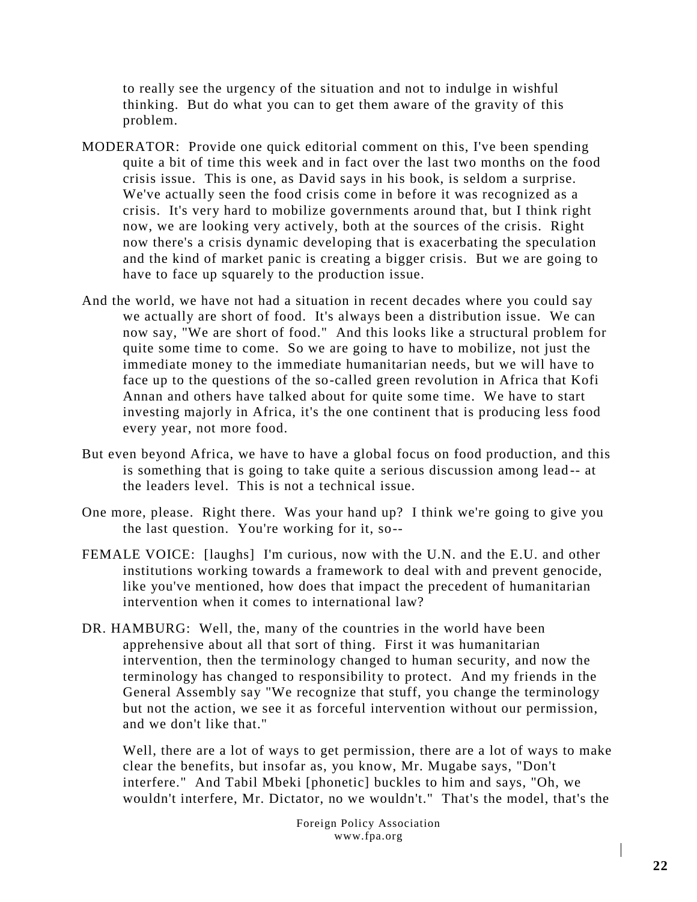to really see the urgency of the situation and not to indulge in wishful thinking. But do what you can to get them aware of the gravity of this problem.

- MODERATOR: Provide one quick editorial comment on this, I've been spending quite a bit of time this week and in fact over the last two months on the food crisis issue. This is one, as David says in his book, is seldom a surprise. We've actually seen the food crisis come in before it was recognized as a crisis. It's very hard to mobilize governments around that, but I think right now, we are looking very actively, both at the sources of the crisis. Right now there's a crisis dynamic developing that is exacerbating the speculation and the kind of market panic is creating a bigger crisis. But we are going to have to face up squarely to the production issue.
- And the world, we have not had a situation in recent decades where you could say we actually are short of food. It's always been a distribution issue. We can now say, "We are short of food." And this looks like a structural problem for quite some time to come. So we are going to have to mobilize, not just the immediate money to the immediate humanitarian needs, but we will have to face up to the questions of the so-called green revolution in Africa that Kofi Annan and others have talked about for quite some time. We have to start investing majorly in Africa, it's the one continent that is producing less food every year, not more food.
- But even beyond Africa, we have to have a global focus on food production, and this is something that is going to take quite a serious discussion among lead -- at the leaders level. This is not a technical issue.
- One more, please. Right there. Was your hand up? I think we're going to give you the last question. You're working for it, so--
- FEMALE VOICE: [laughs] I'm curious, now with the U.N. and the E.U. and other institutions working towards a framework to deal with and prevent genocide, like you've mentioned, how does that impact the precedent of humanitarian intervention when it comes to international law?
- DR. HAMBURG: Well, the, many of the countries in the world have been apprehensive about all that sort of thing. First it was humanitarian intervention, then the terminology changed to human security, and now the terminology has changed to responsibility to protect. And my friends in the General Assembly say "We recognize that stuff, you change the terminology but not the action, we see it as forceful intervention without our permission, and we don't like that."

Well, there are a lot of ways to get permission, there are a lot of ways to make clear the benefits, but insofar as, you know, Mr. Mugabe says, "Don't interfere." And Tabil Mbeki [phonetic] buckles to him and says, "Oh, we wouldn't interfere, Mr. Dictator, no we wouldn't." That's the model, that's the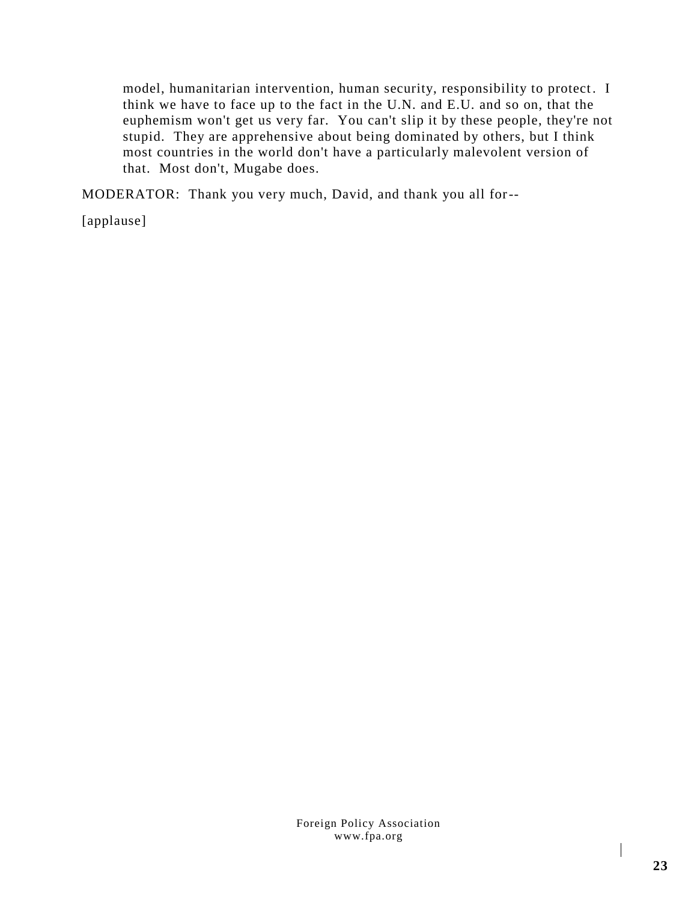model, humanitarian intervention, human security, responsibility to protect. I think we have to face up to the fact in the U.N. and E.U. and so on, that the euphemism won't get us very far. You can't slip it by these people, they're not stupid. They are apprehensive about being dominated by others, but I think most countries in the world don't have a particularly malevolent version of that. Most don't, Mugabe does.

MODERATOR: Thank you very much, David, and thank you all for--

[applause]